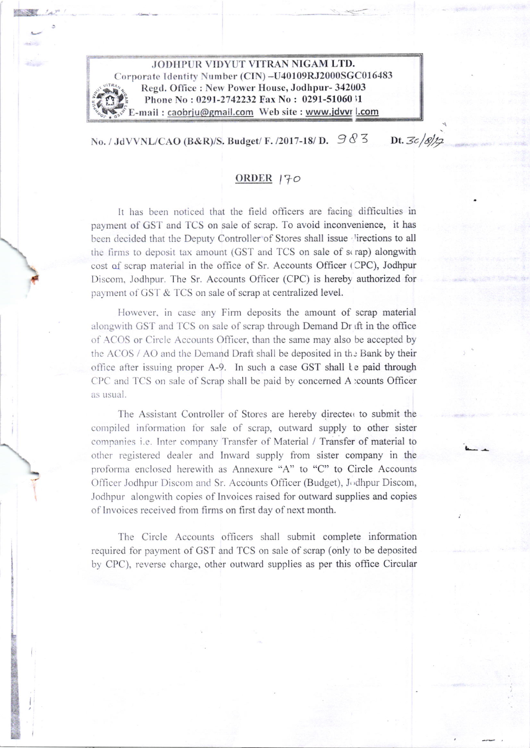

No. / JdVVNL/CAO (B&R)/S. Budget/ F. /2017-18/ D.  $\mathcal{D} \otimes \mathcal{Z}$ Dt.  $3c/8/12$ 

## ORDER<sub>170</sub>

It has been noticed that the field officers are facing difficulties in payment of GST and TCS on sale of scrap. To avoid inconvenience, it has been decided that the Deputy Controller of Stores shall issue lirections to all the firms to deposit tax amount (GST and TCS on sale of scrap) alongwith cost of scrap material in the office of Sr. Accounts Officer (CPC), Jodhpur Discom, Jodhpur. The Sr. Accounts Officer (CPC) is hereby authorized for payment of GST & TCS on sale of scrap at centralized level.

However, in case any Firm deposits the amount of scrap material alongwith GST and TCS on sale of scrap through Demand Dr ift in the office of ACOS or Circle Accounts Officer, than the same may also be accepted by the ACOS / AO and the Demand Draft shall be deposited in the Bank by their office after issuing proper A-9. In such a case GST shall te paid through CPC and TCS on sale of Scrap shall be paid by concerned A :counts Officer as usual.

The Assistant Controller of Stores are hereby directed to submit the compiled information for sale of scrap, outward supply to other sister companies i.e. Inter company Transfer of Material / Transfer of material to other registered dealer and Inward supply from sister company in the proforma enclosed herewith as Annexure "A" to "C" to Circle Accounts Officer Jodhpur Discom and Sr. Accounts Officer (Budget), Jodhpur Discom, Jodhpur alongwith copies of Invoices raised for outward supplies and copies of Invoices received from firms on first day of next month.

The Circle Accounts officers shall submit complete information required for payment of GST and TCS on sale of scrap (only to be deposited by CPC), reverse charge, other outward supplies as per this office Circular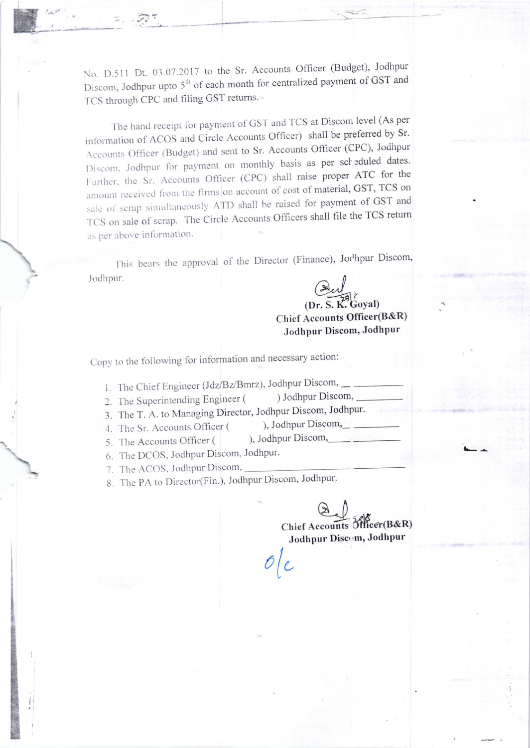No. D.511 Dt. 03.07.2017 to the Sr. Accounts Officer (Budget), Jodhpur Discom, Jodhpur upto 5<sup>th</sup> of each month for centralized payment of GST and TCS through CPC and filing GST returns.

The hand receipt for payment of GST and TCS at Discom level (As per information of ACOS and Circle Accounts Officer) shall be preferred by Sr. Accounts Officer (Budget) and sent to Sr. Accounts Officer (CPC), Jodhpur Discom, Jodhpur for payment on monthly basis as per scheduled dates. Further, the Sr. Accounts Officer (CPC) shall raise proper ATC for the amount received from the firms on account of cost of material, GST, TCS on sale of scrap simultaneously ATD shall be raised for payment of GST and TCS on sale of scrap. The Circle Accounts Officers shall file the TCS return as per above information.

This bears the approval of the Director (Finance), Jochpur Discom Jodhpur.

 $Q$ 

Goval) Chief Accounts Officer(B&R) Jodhpur Discom, Jodhpur

Copy to the following for information and necessary action:

- 1. The Chief Engineer (Jdz/Bz/Bmrz), Jodhpur Discom,
- 2. The Superintending Engineer ( ) Jodhpur Discom,
- 3. The T. A. to Managing Director, Jodhpur Discom, Jodhpur.
- 4. The Sr. Accounts Officer (

), Jodhpur Discom,

- 5. The Accounts Officer ( ), Jodhpur Discom,
- 6. The DCOS, Jodhpur Discom, Jodhpur.

7. The ACOS, Jodhpur Discom,

8. The PA to Director(Fin.), Jodhpur Discom, Jodhpur.

Chief Accounts Officer(B&R) Jodhpur Discom, Jodhpur

I  $\mathcal{O}\bigl|\mathcal{C}\bigr|$ L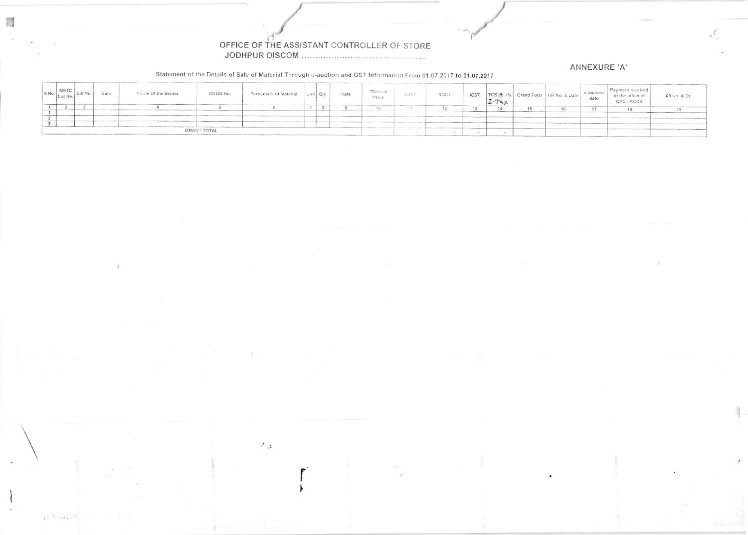## OFFICE OF THE ASSISTANT CONTROLLER OF STORE

 $\mathcal{F}_{\mathcal{L}}$ 

## ANNEXURE 'A'

Statement of the Details of Sale of Material Through e-auction and GST Informarion From 01.07.2017 to 31.07.2017

|                    | $S.No.$ MSTC Bill No. | Date | Name Of the Bidder | <b>GSTIN No.</b> | Particulars of Material |  | Unit Oty. | Rate | Material<br>Value | CGST | SGST | <b>IGST</b> |  | TCS @ 1% Grand Total   HR No. & Date | e-auction<br>date | Payment received<br>in the office of<br>CPC / ACOS | A9 No. & Dt. |
|--------------------|-----------------------|------|--------------------|------------------|-------------------------|--|-----------|------|-------------------|------|------|-------------|--|--------------------------------------|-------------------|----------------------------------------------------|--------------|
|                    |                       |      |                    |                  |                         |  |           |      |                   |      |      |             |  | 16                                   |                   |                                                    |              |
|                    |                       |      |                    |                  |                         |  |           |      |                   |      |      |             |  |                                      |                   |                                                    |              |
|                    |                       |      |                    |                  |                         |  |           |      |                   |      |      |             |  |                                      |                   |                                                    |              |
|                    |                       |      |                    |                  |                         |  |           |      |                   |      |      |             |  |                                      |                   |                                                    |              |
|                    |                       |      |                    |                  |                         |  |           |      |                   |      |      |             |  |                                      |                   |                                                    |              |
| <b>GRANT TOTAL</b> |                       |      |                    |                  |                         |  |           |      |                   |      |      |             |  |                                      |                   |                                                    |              |

 $\mu^{\mu\nu}$  ,  $\lambda^{\mu}\lambda^{\nu}$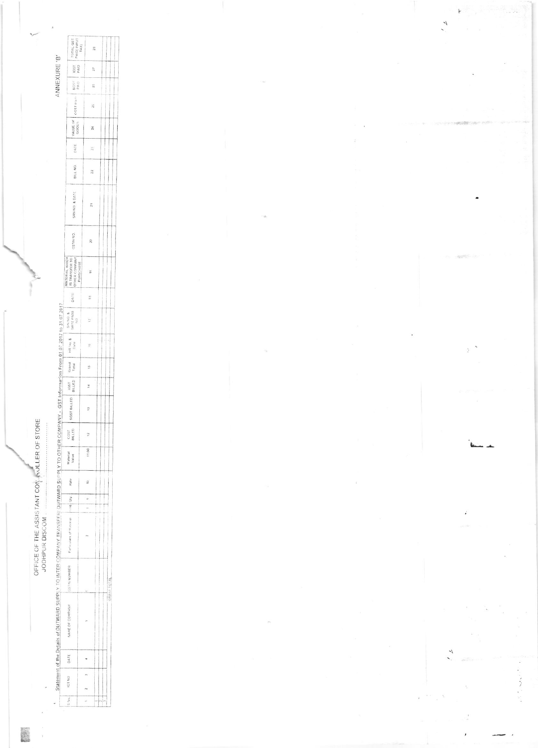OFFICE OF THE ASSISTANT CON A ALLER OF STORE<br>JODHPUR DISCOM

|                                                                                                                                                       | TOTAL GST<br>PAID( NPUT<br>TAX)                                                                                                                                                                                                                                                                                                                                                                                                                                                 |                               |                   | 28                                                                                                                                                                                                                             |                          |
|-------------------------------------------------------------------------------------------------------------------------------------------------------|---------------------------------------------------------------------------------------------------------------------------------------------------------------------------------------------------------------------------------------------------------------------------------------------------------------------------------------------------------------------------------------------------------------------------------------------------------------------------------|-------------------------------|-------------------|--------------------------------------------------------------------------------------------------------------------------------------------------------------------------------------------------------------------------------|--------------------------|
| NNEXURE 'B'                                                                                                                                           | $\begin{array}{c c} \text{SGS} & \text{[} & \text{RST} \end{array}$                                                                                                                                                                                                                                                                                                                                                                                                             |                               | 27                |                                                                                                                                                                                                                                |                          |
|                                                                                                                                                       |                                                                                                                                                                                                                                                                                                                                                                                                                                                                                 |                               | 26                |                                                                                                                                                                                                                                |                          |
|                                                                                                                                                       | CGST PAIN                                                                                                                                                                                                                                                                                                                                                                                                                                                                       |                               | $\frac{6}{2}$     |                                                                                                                                                                                                                                |                          |
|                                                                                                                                                       | VALUE OF                                                                                                                                                                                                                                                                                                                                                                                                                                                                        |                               |                   |                                                                                                                                                                                                                                |                          |
|                                                                                                                                                       | DATE                                                                                                                                                                                                                                                                                                                                                                                                                                                                            |                               |                   |                                                                                                                                                                                                                                |                          |
|                                                                                                                                                       | $\frac{1}{2}$ BILL NO. $\frac{1}{2}$                                                                                                                                                                                                                                                                                                                                                                                                                                            |                               | $\mathbf{22}$     |                                                                                                                                                                                                                                |                          |
|                                                                                                                                                       | SRN NO & DATE                                                                                                                                                                                                                                                                                                                                                                                                                                                                   |                               |                   |                                                                                                                                                                                                                                |                          |
|                                                                                                                                                       | GSTIN NO.                                                                                                                                                                                                                                                                                                                                                                                                                                                                       |                               | $\mathcal{R}$     |                                                                                                                                                                                                                                |                          |
|                                                                                                                                                       | IS TRANSFER TO<br>MATERIAL WHICH                                                                                                                                                                                                                                                                                                                                                                                                                                                | <b>URSCHASF</b>               | $\frac{9}{2}$     |                                                                                                                                                                                                                                |                          |
|                                                                                                                                                       |                                                                                                                                                                                                                                                                                                                                                                                                                                                                                 |                               |                   |                                                                                                                                                                                                                                |                          |
|                                                                                                                                                       | $\begin{array}{ccc}\n\text{SWNO. 8} & & & \text{DATE} \\ \text{GATE PASS} & & \text{DATE} \\ \text{NO}\n\end{array}$                                                                                                                                                                                                                                                                                                                                                            |                               |                   |                                                                                                                                                                                                                                |                          |
|                                                                                                                                                       |                                                                                                                                                                                                                                                                                                                                                                                                                                                                                 |                               | $\frac{10}{15}$   |                                                                                                                                                                                                                                |                          |
|                                                                                                                                                       |                                                                                                                                                                                                                                                                                                                                                                                                                                                                                 |                               | s.                |                                                                                                                                                                                                                                |                          |
|                                                                                                                                                       |                                                                                                                                                                                                                                                                                                                                                                                                                                                                                 |                               | ă                 |                                                                                                                                                                                                                                |                          |
|                                                                                                                                                       | $ \texttt{SGST}}\left \begin{array}{cc} 1051 \\ \texttt{SUT} \end{array}\right  -  \texttt{OST}  -  \texttt{Gand}  -  \texttt{HRT} \sigma \texttt{S} -  \texttt{GATR}  -  \texttt{GATR} \sigma \texttt{S} -  \texttt{GATR}  -  \texttt{GATR} \sigma \texttt{S} -  \texttt{GATR} \sigma \texttt{S} -  \texttt{GATR} \sigma \texttt{S} -  \texttt{GATR} \sigma \texttt{S} -  \texttt{GATR} \sigma \texttt{S} -  \texttt{GATR} \sigma \texttt{S} -  \texttt{GATR} \sigma \texttt{$ |                               | ÷,                |                                                                                                                                                                                                                                |                          |
|                                                                                                                                                       | <b>COST</b><br>VLLED                                                                                                                                                                                                                                                                                                                                                                                                                                                            |                               |                   |                                                                                                                                                                                                                                |                          |
|                                                                                                                                                       | Material<br>Value                                                                                                                                                                                                                                                                                                                                                                                                                                                               | ļ                             | 11,00             |                                                                                                                                                                                                                                |                          |
|                                                                                                                                                       | Rate                                                                                                                                                                                                                                                                                                                                                                                                                                                                            |                               | $\frac{\circ}{r}$ |                                                                                                                                                                                                                                |                          |
|                                                                                                                                                       |                                                                                                                                                                                                                                                                                                                                                                                                                                                                                 | I<br>$\overline{\phantom{a}}$ |                   | ļ                                                                                                                                                                                                                              | İ<br>$\vdots$<br>j       |
|                                                                                                                                                       | Particulars of Material (linit) Oty.                                                                                                                                                                                                                                                                                                                                                                                                                                            |                               |                   | The contract of the contract of the contract of the contract of the contract of the contract of the contract of the contract of the contract of the contract of the contract of the contract of the contract of the contract o |                          |
|                                                                                                                                                       | GSTIN NUMBER                                                                                                                                                                                                                                                                                                                                                                                                                                                                    |                               |                   |                                                                                                                                                                                                                                | i<br> <br>               |
| Statement of the Oetails of OUTWARD SUPPLY TO INTER COMPANY TRANSFERY OUTWARD SUPPLY TO OTHER COMPANY - GST Information From 01.07.2017 to 31.07.2017 | VAME OF COMPANY                                                                                                                                                                                                                                                                                                                                                                                                                                                                 |                               |                   | <b>.</b><br>.<br>.<br>.                                                                                                                                                                                                        | $\overline{\phantom{a}}$ |
|                                                                                                                                                       | I DATE I                                                                                                                                                                                                                                                                                                                                                                                                                                                                        |                               |                   |                                                                                                                                                                                                                                |                          |
|                                                                                                                                                       | ICT NO                                                                                                                                                                                                                                                                                                                                                                                                                                                                          |                               |                   |                                                                                                                                                                                                                                |                          |
|                                                                                                                                                       | $\frac{1}{2}$ No.                                                                                                                                                                                                                                                                                                                                                                                                                                                               |                               |                   |                                                                                                                                                                                                                                | ļ                        |

 $\tilde{\tau}$ ,